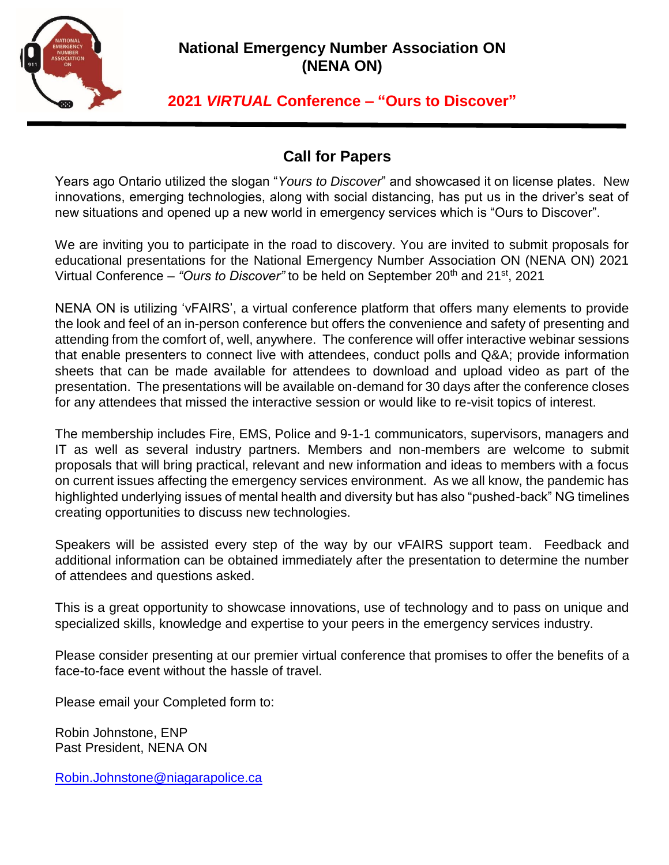

## **National Emergency Number Association ON (NENA ON)**

# **2021** *VIRTUAL* **Conference – "Ours to Discover"**

## **Call for Papers**

Years ago Ontario utilized the slogan "*Yours to Discover*" and showcased it on license plates. New innovations, emerging technologies, along with social distancing, has put us in the driver's seat of new situations and opened up a new world in emergency services which is "Ours to Discover".

We are inviting you to participate in the road to discovery. You are invited to submit proposals for educational presentations for the National Emergency Number Association ON (NENA ON) 2021 Virtual Conference – "Ours to Discover" to be held on September 20<sup>th</sup> and 21<sup>st</sup>, 2021

NENA ON is utilizing 'vFAIRS', a virtual conference platform that offers many elements to provide the look and feel of an in-person conference but offers the convenience and safety of presenting and attending from the comfort of, well, anywhere. The conference will offer interactive webinar sessions that enable presenters to connect live with attendees, conduct polls and Q&A; provide information sheets that can be made available for attendees to download and upload video as part of the presentation. The presentations will be available on-demand for 30 days after the conference closes for any attendees that missed the interactive session or would like to re-visit topics of interest.

The membership includes Fire, EMS, Police and 9-1-1 communicators, supervisors, managers and IT as well as several industry partners. Members and non-members are welcome to submit proposals that will bring practical, relevant and new information and ideas to members with a focus on current issues affecting the emergency services environment. As we all know, the pandemic has highlighted underlying issues of mental health and diversity but has also "pushed-back" NG timelines creating opportunities to discuss new technologies.

Speakers will be assisted every step of the way by our vFAIRS support team. Feedback and additional information can be obtained immediately after the presentation to determine the number of attendees and questions asked.

This is a great opportunity to showcase innovations, use of technology and to pass on unique and specialized skills, knowledge and expertise to your peers in the emergency services industry.

Please consider presenting at our premier virtual conference that promises to offer the benefits of a face-to-face event without the hassle of travel.

Please email your Completed form to:

Robin Johnstone, ENP Past President, NENA ON

[Robin.Johnstone@niagarapolice.ca](mailto:Robin.Johnstone@niagarapolice.ca)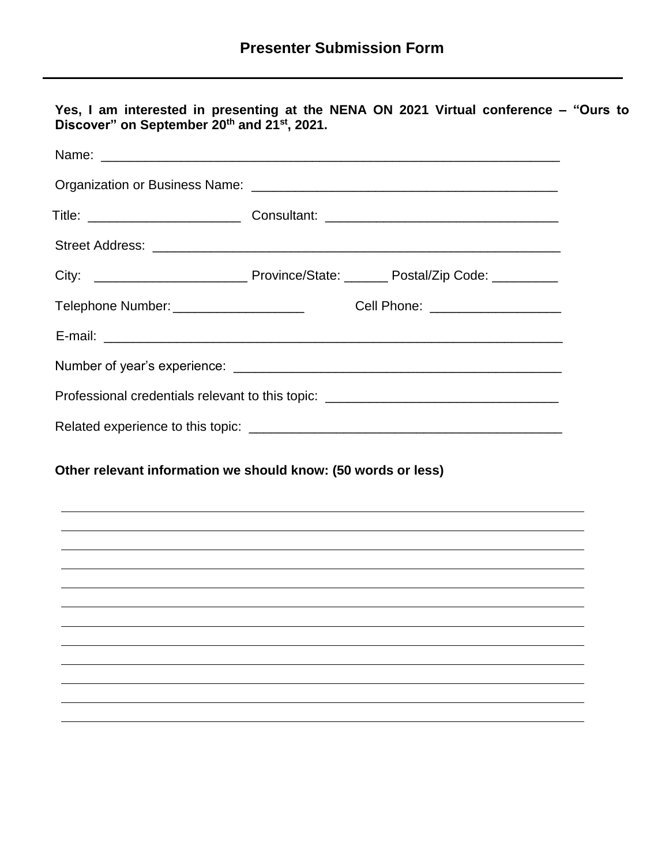|                                                                                  |                                                               | Telephone Number: _________________________________Cell Phone: _________________ |  |
|----------------------------------------------------------------------------------|---------------------------------------------------------------|----------------------------------------------------------------------------------|--|
|                                                                                  |                                                               |                                                                                  |  |
|                                                                                  |                                                               |                                                                                  |  |
| Professional credentials relevant to this topic: _______________________________ |                                                               |                                                                                  |  |
|                                                                                  |                                                               |                                                                                  |  |
|                                                                                  |                                                               |                                                                                  |  |
|                                                                                  | Other relevant information we should know: (50 words or less) | <u> 1989 - John Stein, Amerikaansk politiker († 1908)</u>                        |  |
|                                                                                  |                                                               |                                                                                  |  |
|                                                                                  |                                                               |                                                                                  |  |
|                                                                                  |                                                               |                                                                                  |  |